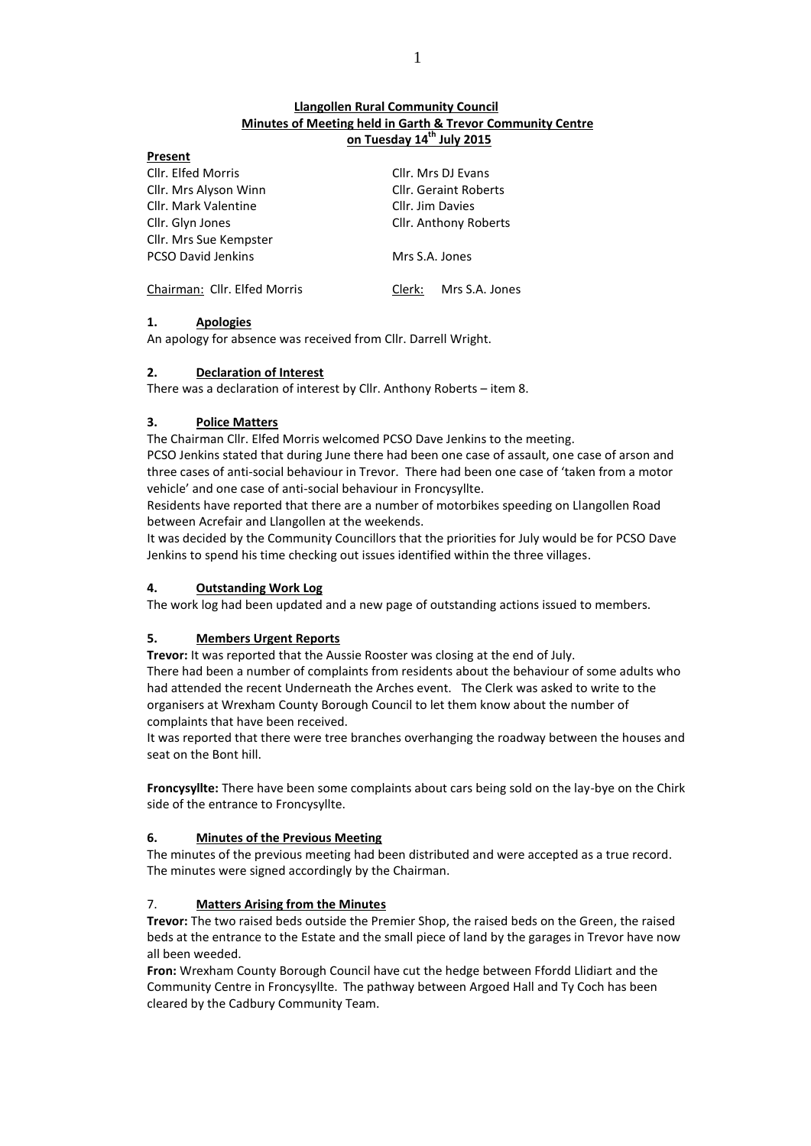# **Llangollen Rural Community Council Minutes of Meeting held in Garth & Trevor Community Centre on Tuesday 14th July 2015**

| .                            |                              |  |
|------------------------------|------------------------------|--|
| Cllr. Elfed Morris           | Cllr. Mrs DJ Evans           |  |
| Cllr. Mrs Alyson Winn        | <b>Cllr. Geraint Roberts</b> |  |
| Cllr. Mark Valentine         | Cllr. Jim Davies             |  |
| Cllr. Glyn Jones             | Cllr. Anthony Roberts        |  |
| Cllr. Mrs Sue Kempster       |                              |  |
| <b>PCSO David Jenkins</b>    | Mrs S.A. Jones               |  |
| Chairman: Cllr. Elfed Morris | Mrs S.A. Jones<br>Clerk:     |  |

# **1. Apologies**

**Present**

An apology for absence was received from Cllr. Darrell Wright.

# **2. Declaration of Interest**

There was a declaration of interest by Cllr. Anthony Roberts – item 8.

# **3. Police Matters**

The Chairman Cllr. Elfed Morris welcomed PCSO Dave Jenkins to the meeting.

PCSO Jenkins stated that during June there had been one case of assault, one case of arson and three cases of anti-social behaviour in Trevor. There had been one case of 'taken from a motor vehicle' and one case of anti-social behaviour in Froncysyllte.

Residents have reported that there are a number of motorbikes speeding on Llangollen Road between Acrefair and Llangollen at the weekends.

It was decided by the Community Councillors that the priorities for July would be for PCSO Dave Jenkins to spend his time checking out issues identified within the three villages.

# **4. Outstanding Work Log**

The work log had been updated and a new page of outstanding actions issued to members.

# **5. Members Urgent Reports**

**Trevor:** It was reported that the Aussie Rooster was closing at the end of July.

There had been a number of complaints from residents about the behaviour of some adults who had attended the recent Underneath the Arches event. The Clerk was asked to write to the organisers at Wrexham County Borough Council to let them know about the number of complaints that have been received.

It was reported that there were tree branches overhanging the roadway between the houses and seat on the Bont hill.

**Froncysyllte:** There have been some complaints about cars being sold on the lay-bye on the Chirk side of the entrance to Froncysyllte.

### **6. Minutes of the Previous Meeting**

The minutes of the previous meeting had been distributed and were accepted as a true record. The minutes were signed accordingly by the Chairman.

# 7. **Matters Arising from the Minutes**

**Trevor:** The two raised beds outside the Premier Shop, the raised beds on the Green, the raised beds at the entrance to the Estate and the small piece of land by the garages in Trevor have now all been weeded.

**Fron:** Wrexham County Borough Council have cut the hedge between Ffordd Llidiart and the Community Centre in Froncysyllte. The pathway between Argoed Hall and Ty Coch has been cleared by the Cadbury Community Team.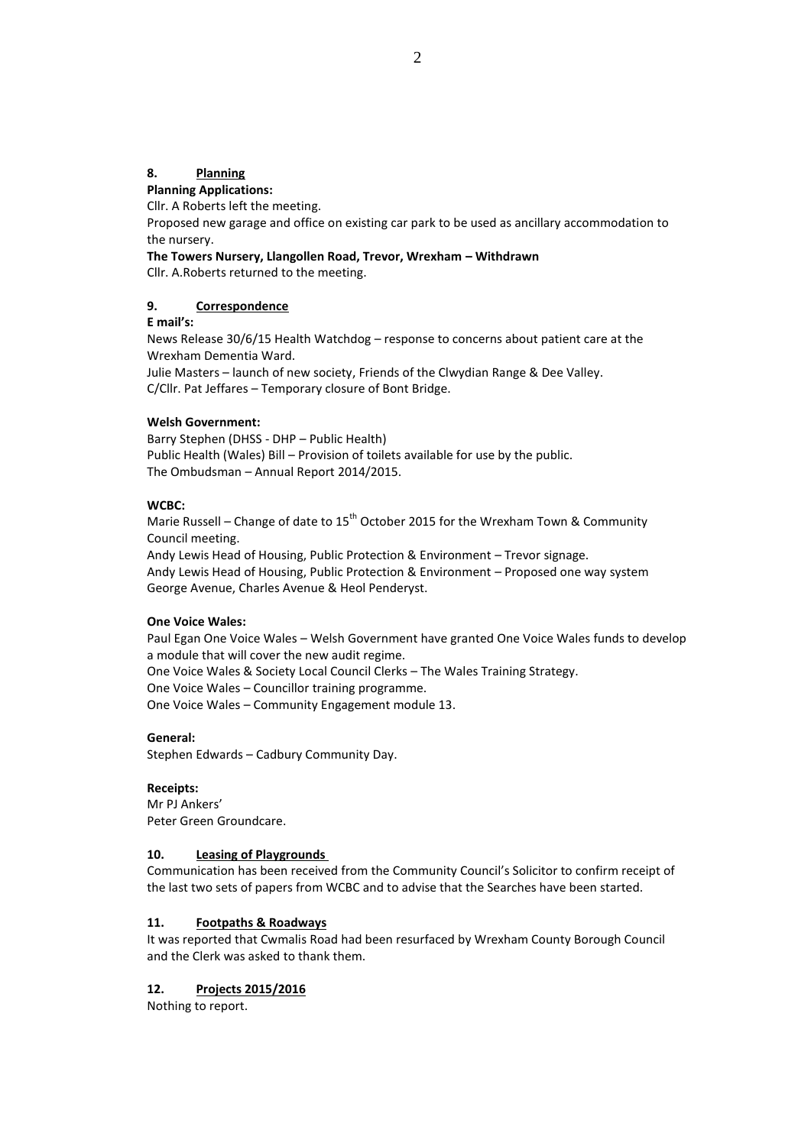# **8. Planning**

#### **Planning Applications:**

Cllr. A Roberts left the meeting.

Proposed new garage and office on existing car park to be used as ancillary accommodation to the nursery.

#### **The Towers Nursery, Llangollen Road, Trevor, Wrexham – Withdrawn**

Cllr. A.Roberts returned to the meeting.

### **9. Correspondence**

**E mail's:**

News Release 30/6/15 Health Watchdog – response to concerns about patient care at the Wrexham Dementia Ward.

Julie Masters – launch of new society, Friends of the Clwydian Range & Dee Valley. C/Cllr. Pat Jeffares – Temporary closure of Bont Bridge.

### **Welsh Government:**

Barry Stephen (DHSS - DHP – Public Health) Public Health (Wales) Bill – Provision of toilets available for use by the public. The Ombudsman – Annual Report 2014/2015.

### **WCBC:**

Marie Russell – Change of date to  $15^{th}$  October 2015 for the Wrexham Town & Community Council meeting.

Andy Lewis Head of Housing, Public Protection & Environment – Trevor signage. Andy Lewis Head of Housing, Public Protection & Environment – Proposed one way system George Avenue, Charles Avenue & Heol Penderyst.

#### **One Voice Wales:**

Paul Egan One Voice Wales – Welsh Government have granted One Voice Wales funds to develop a module that will cover the new audit regime. One Voice Wales & Society Local Council Clerks – The Wales Training Strategy. One Voice Wales – Councillor training programme. One Voice Wales – Community Engagement module 13.

### **General:**

Stephen Edwards – Cadbury Community Day.

### **Receipts:**

Mr PJ Ankers' Peter Green Groundcare.

### **10. Leasing of Playgrounds**

Communication has been received from the Community Council's Solicitor to confirm receipt of the last two sets of papers from WCBC and to advise that the Searches have been started.

### **11. Footpaths & Roadways**

It was reported that Cwmalis Road had been resurfaced by Wrexham County Borough Council and the Clerk was asked to thank them.

### **12. Projects 2015/2016**

Nothing to report.